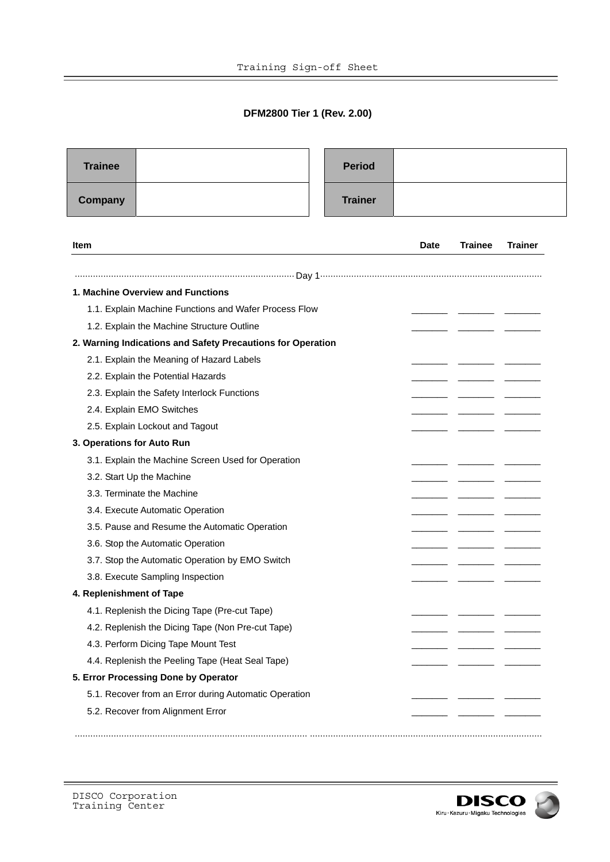## **DFM2800 Tier 1 (Rev. 2.00)**

 $\overline{\phantom{0}}$ 

| <b>Trainee</b>                                              |  | <b>Period</b>  |             |                |                |
|-------------------------------------------------------------|--|----------------|-------------|----------------|----------------|
| Company                                                     |  | <b>Trainer</b> |             |                |                |
| <b>Item</b>                                                 |  |                | <b>Date</b> | <b>Trainee</b> | <b>Trainer</b> |
|                                                             |  |                |             |                |                |
| 1. Machine Overview and Functions                           |  |                |             |                |                |
| 1.1. Explain Machine Functions and Wafer Process Flow       |  |                |             |                |                |
| 1.2. Explain the Machine Structure Outline                  |  |                |             |                |                |
| 2. Warning Indications and Safety Precautions for Operation |  |                |             |                |                |
| 2.1. Explain the Meaning of Hazard Labels                   |  |                |             |                |                |
| 2.2. Explain the Potential Hazards                          |  |                |             |                |                |
| 2.3. Explain the Safety Interlock Functions                 |  |                |             |                |                |
| 2.4. Explain EMO Switches                                   |  |                |             |                |                |
| 2.5. Explain Lockout and Tagout                             |  |                |             |                |                |
| 3. Operations for Auto Run                                  |  |                |             |                |                |
| 3.1. Explain the Machine Screen Used for Operation          |  |                |             |                |                |
| 3.2. Start Up the Machine                                   |  |                |             |                |                |
| 3.3. Terminate the Machine                                  |  |                |             |                |                |
| 3.4. Execute Automatic Operation                            |  |                |             |                |                |
| 3.5. Pause and Resume the Automatic Operation               |  |                |             |                |                |
| 3.6. Stop the Automatic Operation                           |  |                |             |                |                |
| 3.7. Stop the Automatic Operation by EMO Switch             |  |                |             |                |                |
| 3.8. Execute Sampling Inspection                            |  |                |             |                |                |
| 4. Replenishment of Tape                                    |  |                |             |                |                |
| 4.1. Replenish the Dicing Tape (Pre-cut Tape)               |  |                |             |                |                |
| 4.2. Replenish the Dicing Tape (Non Pre-cut Tape)           |  |                |             |                |                |
| 4.3. Perform Dicing Tape Mount Test                         |  |                |             |                |                |
| 4.4. Replenish the Peeling Tape (Heat Seal Tape)            |  |                |             |                |                |
| 5. Error Processing Done by Operator                        |  |                |             |                |                |
| 5.1. Recover from an Error during Automatic Operation       |  |                |             |                |                |
| 5.2. Recover from Alignment Error                           |  |                |             |                |                |
|                                                             |  |                |             |                |                |